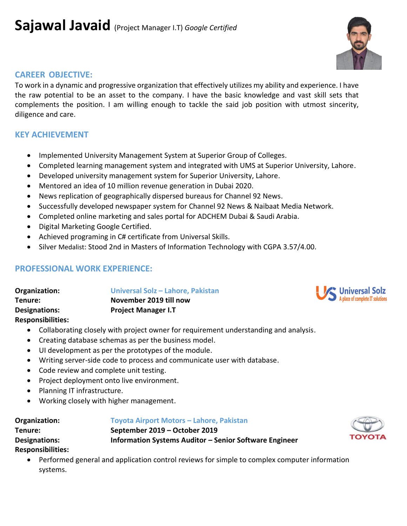## **CAREER OBJECTIVE:**

To work in a dynamic and progressive organization that effectively utilizes my ability and experience. I have the raw potential to be an asset to the company. I have the basic knowledge and vast skill sets that complements the position. I am willing enough to tackle the said job position with utmost sincerity, diligence and care.

# **KEY ACHIEVEMENT**

- Implemented University Management System at Superior Group of Colleges.
- Completed learning management system and integrated with UMS at Superior University, Lahore.
- Developed university management system for Superior University, Lahore.
- Mentored an idea of 10 million revenue generation in Dubai 2020.
- News replication of geographically dispersed bureaus for Channel 92 News.
- Successfully developed newspaper system for Channel 92 News & Naibaat Media Network.
- Completed online marketing and sales portal for ADCHEM Dubai & Saudi Arabia.
- Digital Marketing Google Certified.
- Achieved programing in C# certificate from Universal Skills.
- Silver Medalist: Stood 2nd in Masters of Information Technology with CGPA 3.57/4.00.

## **PROFESSIONAL WORK EXPERIENCE:**

| Organization:            | Universal Solz - Lahore, Pakistan |
|--------------------------|-----------------------------------|
| Tenure:                  | November 2019 till now            |
| <b>Designations:</b>     | <b>Project Manager I.T</b>        |
| <b>Responsibilities:</b> |                                   |

- Collaborating closely with project owner for requirement understanding and analysis.
- Creating database schemas as per the business model.
- UI development as per the prototypes of the module.
- Writing server-side code to process and communicate user with database.
- Code review and complete unit testing.
- Project deployment onto live environment.
- Planning IT infrastructure.
- Working closely with higher management.

| Organization:            | Toyota Airport Motors - Lahore, Pakistan               |
|--------------------------|--------------------------------------------------------|
| Tenure:                  | September 2019 – October 2019                          |
| <b>Designations:</b>     | Information Systems Auditor - Senior Software Engineer |
| <b>Responsibilities:</b> |                                                        |

• Performed general and application control reviews for simple to complex computer information systems.





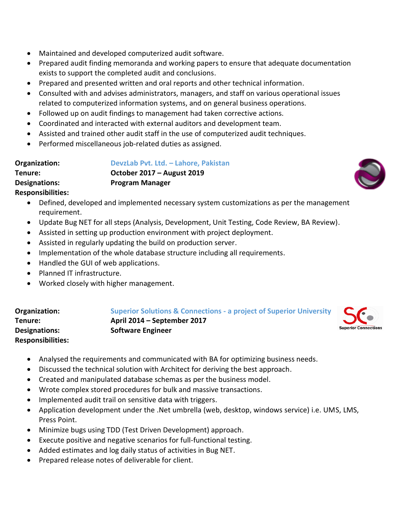- Maintained and developed computerized audit software.
- Prepared audit finding memoranda and working papers to ensure that adequate documentation exists to support the completed audit and conclusions.
- Prepared and presented written and oral reports and other technical information.
- Consulted with and advises administrators, managers, and staff on various operational issues related to computerized information systems, and on general business operations.
- Followed up on audit findings to management had taken corrective actions.
- Coordinated and interacted with external auditors and development team.
- Assisted and trained other audit staff in the use of computerized audit techniques.
- Performed miscellaneous job-related duties as assigned.

| Organization:        | DevzLab Pvt. Ltd. - Lahore, Pakistan |
|----------------------|--------------------------------------|
| Tenure:              | October 2017 – August 2019           |
| <b>Designations:</b> | <b>Program Manager</b>               |

## **Responsibilities:**

- Defined, developed and implemented necessary system customizations as per the management requirement.
- Update Bug NET for all steps (Analysis, Development, Unit Testing, Code Review, BA Review).
- Assisted in setting up production environment with project deployment.
- Assisted in regularly updating the build on production server.
- Implementation of the whole database structure including all requirements.
- Handled the GUI of web applications.
- Planned IT infrastructure.
- Worked closely with higher management.

| Organization:            | <b>Superior Solutions &amp; Connections - a project of Superior University</b> | SC                     |
|--------------------------|--------------------------------------------------------------------------------|------------------------|
| Tenure:                  | April 2014 – September 2017                                                    |                        |
| <b>Designations:</b>     | <b>Software Engineer</b>                                                       | <b>Superior Connec</b> |
| <b>Responsibilities:</b> |                                                                                |                        |

tions

- Analysed the requirements and communicated with BA for optimizing business needs.
- Discussed the technical solution with Architect for deriving the best approach.
- Created and manipulated database schemas as per the business model.
- Wrote complex stored procedures for bulk and massive transactions.
- Implemented audit trail on sensitive data with triggers.
- Application development under the .Net umbrella (web, desktop, windows service) i.e. UMS, LMS, Press Point.
- Minimize bugs using TDD (Test Driven Development) approach.
- Execute positive and negative scenarios for full-functional testing.
- Added estimates and log daily status of activities in Bug NET.
- Prepared release notes of deliverable for client.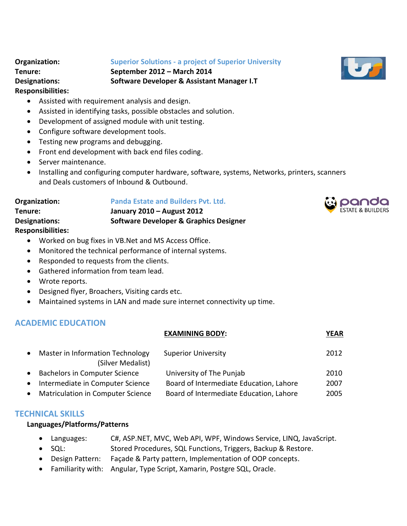#### **Organization: Superior Solutions - a project of Superior University**

**Tenure: September 2012 – March 2014 Designations: Software Developer & Assistant Manager I.T**

### **Responsibilities:**

- Assisted with requirement analysis and design.
- Assisted in identifying tasks, possible obstacles and solution.
- Development of assigned module with unit testing.
- Configure software development tools.
- Testing new programs and debugging.
- Front end development with back end files coding.
- Server maintenance.
- Installing and configuring computer hardware, software, systems, Networks, printers, scanners and Deals customers of Inbound & Outbound.

| Organization:            | <b>Panda Estate and Builders Pvt. Ltd.</b>        |
|--------------------------|---------------------------------------------------|
| Tenure:                  | January 2010 - August 2012                        |
| Designations:            | <b>Software Developer &amp; Graphics Designer</b> |
| <b>Responsibilities:</b> |                                                   |

- Worked on bug fixes in VB.Net and MS Access Office.
- Monitored the technical performance of internal systems.
- Responded to requests from the clients.
- Gathered information from team lead.
- Wrote reports.
- Designed flyer, Broachers, Visiting cards etc.
- Maintained systems in LAN and made sure internet connectivity up time.

# **ACADEMIC EDUCATION**

## **EXAMINING BODY: YEAR**

|           | Master in Information Technology<br>(Silver Medalist) | <b>Superior University</b>              | 2012 |
|-----------|-------------------------------------------------------|-----------------------------------------|------|
|           | <b>Bachelors in Computer Science</b>                  | University of The Punjab                | 2010 |
| $\bullet$ | Intermediate in Computer Science                      | Board of Intermediate Education, Lahore | 2007 |
|           | <b>Matriculation in Computer Science</b>              | Board of Intermediate Education, Lahore | 2005 |

## **TECHNICAL SKILLS**

#### **Languages/Platforms/Patterns**

- Languages: C#, ASP.NET, MVC, Web API, WPF, Windows Service, LINQ, JavaScript.
- SQL: Stored Procedures, SQL Functions, Triggers, Backup & Restore.
- Design Pattern: Façade & Party pattern, Implementation of OOP concepts.
- Familiarity with: Angular, Type Script, Xamarin, Postgre SQL, Oracle.



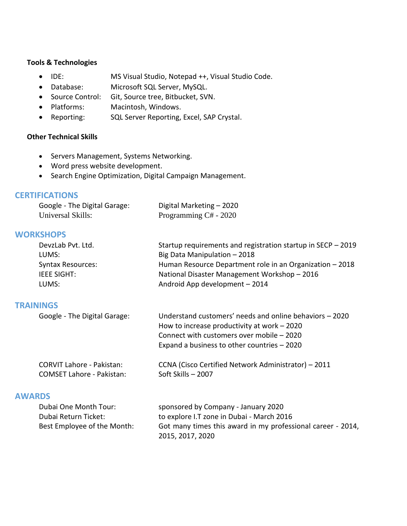### **Tools & Technologies**

- IDE: MS Visual Studio, Notepad ++, Visual Studio Code.
- Database: Microsoft SQL Server, MySQL.
- Source Control: Git, Source tree, Bitbucket, SVN.
- Platforms: Macintosh, Windows.
- Reporting: SQL Server Reporting, Excel, SAP Crystal.

### **Other Technical Skills**

- Servers Management, Systems Networking.
- Word press website development.
- Search Engine Optimization, Digital Campaign Management.

### **CERTIFICATIONS**

| Google - The Digital Garage: | Digital Marketing - 2020 |
|------------------------------|--------------------------|
| Universal Skills:            | Programming C# - 2020    |

## **WORKSHOPS**

| Startup requirements and registration startup in SECP - 2019 |
|--------------------------------------------------------------|
| Big Data Manipulation - 2018                                 |
| Human Resource Department role in an Organization - 2018     |
| National Disaster Management Workshop - 2016                 |
| Android App development - 2014                               |
|                                                              |

#### **TRAININGS**

| Google - The Digital Garage: | Understand customers' needs and online behaviors - 2020 |
|------------------------------|---------------------------------------------------------|
|                              | How to increase productivity at work $-2020$            |
|                              | Connect with customers over mobile - 2020               |
|                              | Expand a business to other countries $-2020$            |

| CORVIT Lahore - Pakistan:        | CCNA (Cisco Certified Network Administrator) – 2011 |
|----------------------------------|-----------------------------------------------------|
| <b>COMSET Lahore - Pakistan:</b> | Soft Skills – 2007                                  |

### **AWARDS**

| Dubai One Month Tour:       | sponsored by Company - January 2020                         |
|-----------------------------|-------------------------------------------------------------|
| Dubai Return Ticket:        | to explore I.T zone in Dubai - March 2016                   |
| Best Employee of the Month: | Got many times this award in my professional career - 2014, |
|                             | 2015, 2017, 2020                                            |